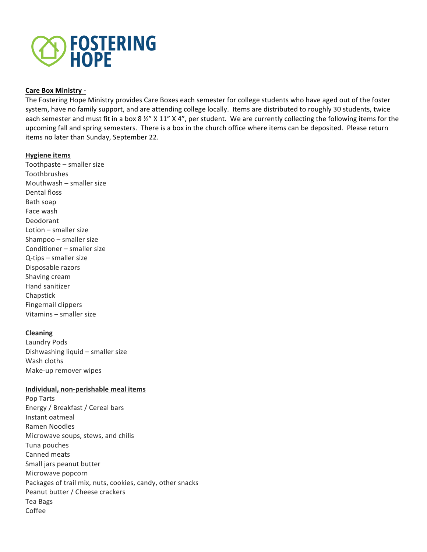

## **Care Box Ministry -**

The Fostering Hope Ministry provides Care Boxes each semester for college students who have aged out of the foster system, have no family support, and are attending college locally. Items are distributed to roughly 30 students, twice each semester and must fit in a box 8 %" X 11" X 4", per student. We are currently collecting the following items for the upcoming fall and spring semesters. There is a box in the church office where items can be deposited. Please return items no later than Sunday, September 22.

## **Hygiene items**

Toothpaste  $-$  smaller size Toothbrushes Mouthwash  $-$  smaller size Dental floss Bath soap Face wash Deodorant Lotion  $-$  smaller size Shampoo – smaller size Conditioner – smaller size  $Q$ -tips  $-$  smaller size Disposable razors Shaving cream Hand sanitizer Chapstick Fingernail clippers Vitamins - smaller size

# **Cleaning**

Laundry Pods Dishwashing liquid  $-$  smaller size Wash cloths Make-up remover wipes

## **Individual, non-perishable meal items**

Pop Tarts Energy / Breakfast / Cereal bars Instant oatmeal Ramen Noodles Microwave soups, stews, and chilis Tuna pouches Canned meats Small jars peanut butter Microwave popcorn Packages of trail mix, nuts, cookies, candy, other snacks Peanut butter / Cheese crackers Tea Bags Coffee